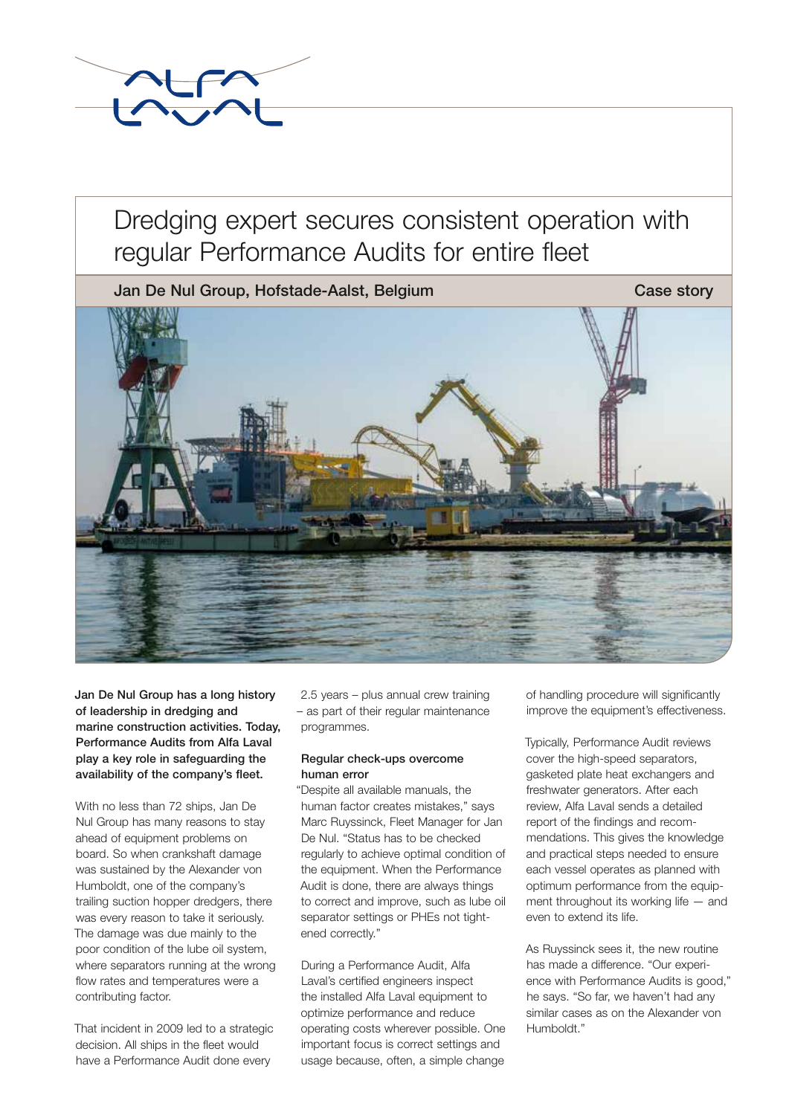

## Dredging expert secures consistent operation with regular Performance Audits for entire fleet

Jan De Nul Group, Hofstade-Aalst, Belgium Case story Case story

Jan De Nul Group has a long history of leadership in dredging and marine construction activities. Today, Performance Audits from Alfa Laval play a key role in safeguarding the availability of the company's fleet.

With no less than 72 ships, Jan De Nul Group has many reasons to stay ahead of equipment problems on board. So when crankshaft damage was sustained by the Alexander von Humboldt, one of the company's trailing suction hopper dredgers, there was every reason to take it seriously. The damage was due mainly to the poor condition of the lube oil system, where separators running at the wrong flow rates and temperatures were a contributing factor.

That incident in 2009 led to a strategic decision. All ships in the fleet would have a Performance Audit done every

2.5 years – plus annual crew training – as part of their regular maintenance programmes.

### Regular check-ups overcome human error

"Despite all available manuals, the human factor creates mistakes," says Marc Ruyssinck, Fleet Manager for Jan De Nul. "Status has to be checked regularly to achieve optimal condition of the equipment. When the Performance Audit is done, there are always things to correct and improve, such as lube oil separator settings or PHEs not tightened correctly."

During a Performance Audit, Alfa Laval's certified engineers inspect the installed Alfa Laval equipment to optimize performance and reduce operating costs wherever possible. One important focus is correct settings and usage because, often, a simple change

of handling procedure will significantly improve the equipment's effectiveness.

Typically, Performance Audit reviews cover the high-speed separators, gasketed plate heat exchangers and freshwater generators. After each review, Alfa Laval sends a detailed report of the findings and recommendations. This gives the knowledge and practical steps needed to ensure each vessel operates as planned with optimum performance from the equipment throughout its working life — and even to extend its life.

As Ruyssinck sees it, the new routine has made a difference. "Our experience with Performance Audits is good," he says. "So far, we haven't had any similar cases as on the Alexander von Humboldt."